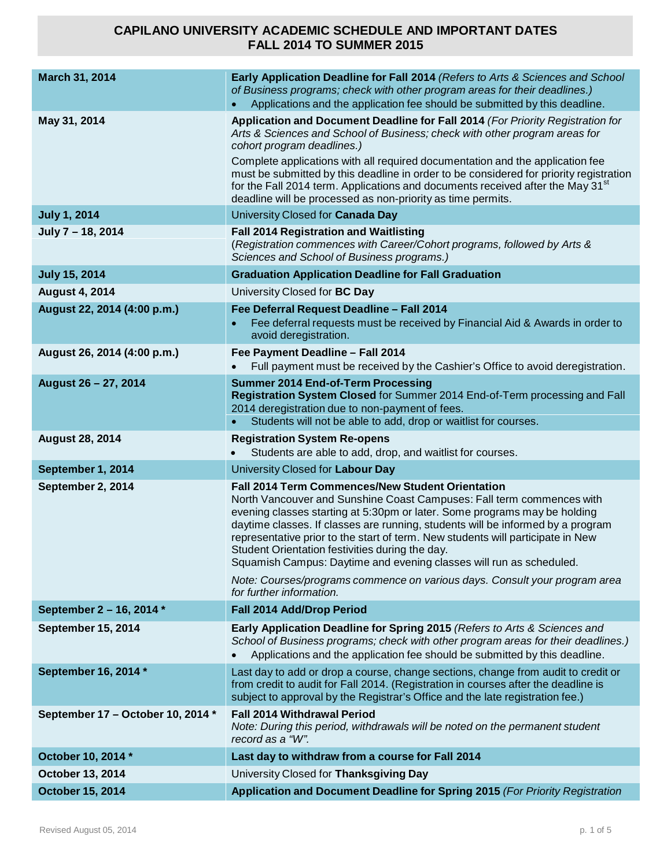| March 31, 2014                    | Early Application Deadline for Fall 2014 (Refers to Arts & Sciences and School<br>of Business programs; check with other program areas for their deadlines.)<br>Applications and the application fee should be submitted by this deadline.                                                                                                                                                                                                                                                                                                                                                                              |
|-----------------------------------|-------------------------------------------------------------------------------------------------------------------------------------------------------------------------------------------------------------------------------------------------------------------------------------------------------------------------------------------------------------------------------------------------------------------------------------------------------------------------------------------------------------------------------------------------------------------------------------------------------------------------|
| May 31, 2014                      | Application and Document Deadline for Fall 2014 (For Priority Registration for<br>Arts & Sciences and School of Business; check with other program areas for<br>cohort program deadlines.)<br>Complete applications with all required documentation and the application fee<br>must be submitted by this deadline in order to be considered for priority registration<br>for the Fall 2014 term. Applications and documents received after the May 31 <sup>st</sup><br>deadline will be processed as non-priority as time permits.                                                                                      |
| <b>July 1, 2014</b>               | University Closed for Canada Day                                                                                                                                                                                                                                                                                                                                                                                                                                                                                                                                                                                        |
| July 7 - 18, 2014                 | <b>Fall 2014 Registration and Waitlisting</b><br>(Registration commences with Career/Cohort programs, followed by Arts &<br>Sciences and School of Business programs.)                                                                                                                                                                                                                                                                                                                                                                                                                                                  |
| <b>July 15, 2014</b>              | <b>Graduation Application Deadline for Fall Graduation</b>                                                                                                                                                                                                                                                                                                                                                                                                                                                                                                                                                              |
| <b>August 4, 2014</b>             | University Closed for BC Day                                                                                                                                                                                                                                                                                                                                                                                                                                                                                                                                                                                            |
| August 22, 2014 (4:00 p.m.)       | Fee Deferral Request Deadline - Fall 2014<br>Fee deferral requests must be received by Financial Aid & Awards in order to<br>avoid deregistration.                                                                                                                                                                                                                                                                                                                                                                                                                                                                      |
| August 26, 2014 (4:00 p.m.)       | Fee Payment Deadline - Fall 2014<br>Full payment must be received by the Cashier's Office to avoid deregistration.                                                                                                                                                                                                                                                                                                                                                                                                                                                                                                      |
| August 26 - 27, 2014              | <b>Summer 2014 End-of-Term Processing</b><br>Registration System Closed for Summer 2014 End-of-Term processing and Fall<br>2014 deregistration due to non-payment of fees.                                                                                                                                                                                                                                                                                                                                                                                                                                              |
|                                   | Students will not be able to add, drop or waitlist for courses.<br>$\bullet$                                                                                                                                                                                                                                                                                                                                                                                                                                                                                                                                            |
| <b>August 28, 2014</b>            | <b>Registration System Re-opens</b><br>Students are able to add, drop, and waitlist for courses.                                                                                                                                                                                                                                                                                                                                                                                                                                                                                                                        |
| September 1, 2014                 | University Closed for Labour Day                                                                                                                                                                                                                                                                                                                                                                                                                                                                                                                                                                                        |
| September 2, 2014                 | <b>Fall 2014 Term Commences/New Student Orientation</b><br>North Vancouver and Sunshine Coast Campuses: Fall term commences with<br>evening classes starting at 5:30pm or later. Some programs may be holding<br>daytime classes. If classes are running, students will be informed by a program<br>representative prior to the start of term. New students will participate in New<br>Student Orientation festivities during the day.<br>Squamish Campus: Daytime and evening classes will run as scheduled.<br>Note: Courses/programs commence on various days. Consult your program area<br>for further information. |
| September 2 - 16, 2014 *          | Fall 2014 Add/Drop Period                                                                                                                                                                                                                                                                                                                                                                                                                                                                                                                                                                                               |
| <b>September 15, 2014</b>         | Early Application Deadline for Spring 2015 (Refers to Arts & Sciences and<br>School of Business programs; check with other program areas for their deadlines.)<br>Applications and the application fee should be submitted by this deadline.                                                                                                                                                                                                                                                                                                                                                                            |
| September 16, 2014 *              | Last day to add or drop a course, change sections, change from audit to credit or<br>from credit to audit for Fall 2014. (Registration in courses after the deadline is<br>subject to approval by the Registrar's Office and the late registration fee.)                                                                                                                                                                                                                                                                                                                                                                |
| September 17 - October 10, 2014 * | <b>Fall 2014 Withdrawal Period</b><br>Note: During this period, withdrawals will be noted on the permanent student<br>record as a "W".                                                                                                                                                                                                                                                                                                                                                                                                                                                                                  |
| October 10, 2014 *                | Last day to withdraw from a course for Fall 2014                                                                                                                                                                                                                                                                                                                                                                                                                                                                                                                                                                        |
| October 13, 2014                  | University Closed for Thanksgiving Day                                                                                                                                                                                                                                                                                                                                                                                                                                                                                                                                                                                  |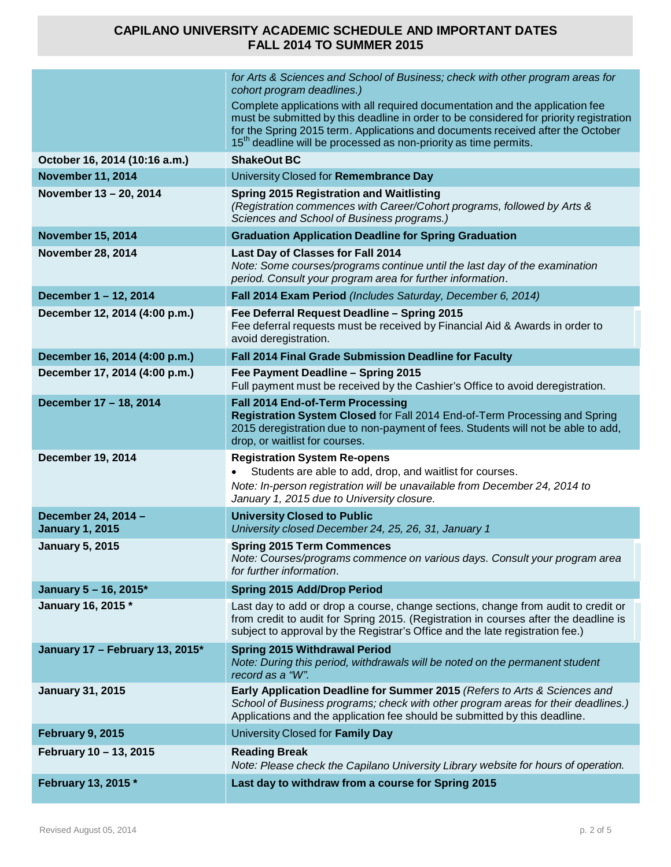|                                               | for Arts & Sciences and School of Business; check with other program areas for<br>cohort program deadlines.)<br>Complete applications with all required documentation and the application fee<br>must be submitted by this deadline in order to be considered for priority registration<br>for the Spring 2015 term. Applications and documents received after the October<br>15 <sup>th</sup> deadline will be processed as non-priority as time permits. |
|-----------------------------------------------|------------------------------------------------------------------------------------------------------------------------------------------------------------------------------------------------------------------------------------------------------------------------------------------------------------------------------------------------------------------------------------------------------------------------------------------------------------|
| October 16, 2014 (10:16 a.m.)                 | <b>ShakeOut BC</b>                                                                                                                                                                                                                                                                                                                                                                                                                                         |
| <b>November 11, 2014</b>                      | University Closed for Remembrance Day                                                                                                                                                                                                                                                                                                                                                                                                                      |
| November 13 - 20, 2014                        | <b>Spring 2015 Registration and Waitlisting</b><br>(Registration commences with Career/Cohort programs, followed by Arts &<br>Sciences and School of Business programs.)                                                                                                                                                                                                                                                                                   |
| <b>November 15, 2014</b>                      | <b>Graduation Application Deadline for Spring Graduation</b>                                                                                                                                                                                                                                                                                                                                                                                               |
| <b>November 28, 2014</b>                      | Last Day of Classes for Fall 2014<br>Note: Some courses/programs continue until the last day of the examination<br>period. Consult your program area for further information.                                                                                                                                                                                                                                                                              |
| December 1-12, 2014                           | Fall 2014 Exam Period (Includes Saturday, December 6, 2014)                                                                                                                                                                                                                                                                                                                                                                                                |
| December 12, 2014 (4:00 p.m.)                 | Fee Deferral Request Deadline - Spring 2015<br>Fee deferral requests must be received by Financial Aid & Awards in order to<br>avoid deregistration.                                                                                                                                                                                                                                                                                                       |
| December 16, 2014 (4:00 p.m.)                 | Fall 2014 Final Grade Submission Deadline for Faculty                                                                                                                                                                                                                                                                                                                                                                                                      |
| December 17, 2014 (4:00 p.m.)                 | Fee Payment Deadline - Spring 2015<br>Full payment must be received by the Cashier's Office to avoid deregistration.                                                                                                                                                                                                                                                                                                                                       |
| December 17 - 18, 2014                        | Fall 2014 End-of-Term Processing<br>Registration System Closed for Fall 2014 End-of-Term Processing and Spring<br>2015 deregistration due to non-payment of fees. Students will not be able to add,<br>drop, or waitlist for courses.                                                                                                                                                                                                                      |
| <b>December 19, 2014</b>                      | <b>Registration System Re-opens</b><br>Students are able to add, drop, and waitlist for courses.<br>Note: In-person registration will be unavailable from December 24, 2014 to<br>January 1, 2015 due to University closure.                                                                                                                                                                                                                               |
| December 24, 2014 -<br><b>January 1, 2015</b> | <b>University Closed to Public</b><br>University closed December 24, 25, 26, 31, January 1                                                                                                                                                                                                                                                                                                                                                                 |
| <b>January 5, 2015</b>                        | <b>Spring 2015 Term Commences</b><br>Note: Courses/programs commence on various days. Consult your program area<br>for further information.                                                                                                                                                                                                                                                                                                                |
| January 5 - 16, 2015*                         | <b>Spring 2015 Add/Drop Period</b>                                                                                                                                                                                                                                                                                                                                                                                                                         |
| January 16, 2015 *                            | Last day to add or drop a course, change sections, change from audit to credit or<br>from credit to audit for Spring 2015. (Registration in courses after the deadline is<br>subject to approval by the Registrar's Office and the late registration fee.)                                                                                                                                                                                                 |
| January 17 - February 13, 2015*               | <b>Spring 2015 Withdrawal Period</b><br>Note: During this period, withdrawals will be noted on the permanent student<br>record as a "W".                                                                                                                                                                                                                                                                                                                   |
| <b>January 31, 2015</b>                       | Early Application Deadline for Summer 2015 (Refers to Arts & Sciences and<br>School of Business programs; check with other program areas for their deadlines.)<br>Applications and the application fee should be submitted by this deadline.                                                                                                                                                                                                               |
| <b>February 9, 2015</b>                       | University Closed for Family Day                                                                                                                                                                                                                                                                                                                                                                                                                           |
| February 10 - 13, 2015                        | <b>Reading Break</b><br>Note: Please check the Capilano University Library website for hours of operation.                                                                                                                                                                                                                                                                                                                                                 |
| February 13, 2015 *                           | Last day to withdraw from a course for Spring 2015                                                                                                                                                                                                                                                                                                                                                                                                         |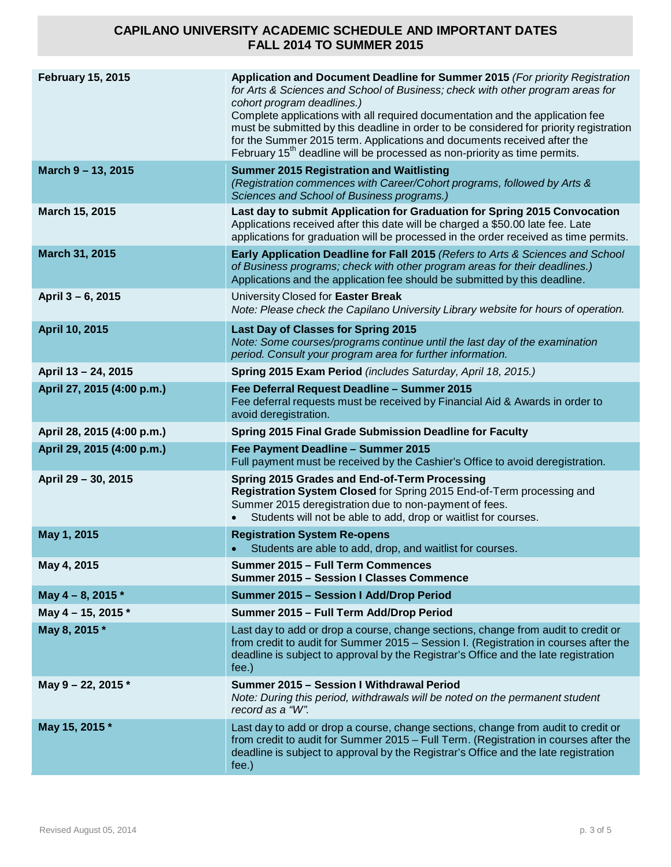| <b>February 15, 2015</b>   | Application and Document Deadline for Summer 2015 (For priority Registration<br>for Arts & Sciences and School of Business; check with other program areas for<br>cohort program deadlines.)<br>Complete applications with all required documentation and the application fee<br>must be submitted by this deadline in order to be considered for priority registration<br>for the Summer 2015 term. Applications and documents received after the<br>February 15 <sup>th</sup> deadline will be processed as non-priority as time permits. |
|----------------------------|---------------------------------------------------------------------------------------------------------------------------------------------------------------------------------------------------------------------------------------------------------------------------------------------------------------------------------------------------------------------------------------------------------------------------------------------------------------------------------------------------------------------------------------------|
| March 9 - 13, 2015         | <b>Summer 2015 Registration and Waitlisting</b><br>(Registration commences with Career/Cohort programs, followed by Arts &<br>Sciences and School of Business programs.)                                                                                                                                                                                                                                                                                                                                                                    |
| March 15, 2015             | Last day to submit Application for Graduation for Spring 2015 Convocation<br>Applications received after this date will be charged a \$50.00 late fee. Late<br>applications for graduation will be processed in the order received as time permits.                                                                                                                                                                                                                                                                                         |
| March 31, 2015             | Early Application Deadline for Fall 2015 (Refers to Arts & Sciences and School<br>of Business programs; check with other program areas for their deadlines.)<br>Applications and the application fee should be submitted by this deadline.                                                                                                                                                                                                                                                                                                  |
| April 3 - 6, 2015          | University Closed for Easter Break<br>Note: Please check the Capilano University Library website for hours of operation.                                                                                                                                                                                                                                                                                                                                                                                                                    |
| April 10, 2015             | <b>Last Day of Classes for Spring 2015</b><br>Note: Some courses/programs continue until the last day of the examination<br>period. Consult your program area for further information.                                                                                                                                                                                                                                                                                                                                                      |
| April 13 - 24, 2015        | Spring 2015 Exam Period (includes Saturday, April 18, 2015.)                                                                                                                                                                                                                                                                                                                                                                                                                                                                                |
| April 27, 2015 (4:00 p.m.) | Fee Deferral Request Deadline - Summer 2015<br>Fee deferral requests must be received by Financial Aid & Awards in order to<br>avoid deregistration.                                                                                                                                                                                                                                                                                                                                                                                        |
| April 28, 2015 (4:00 p.m.) | <b>Spring 2015 Final Grade Submission Deadline for Faculty</b>                                                                                                                                                                                                                                                                                                                                                                                                                                                                              |
| April 29, 2015 (4:00 p.m.) | Fee Payment Deadline - Summer 2015<br>Full payment must be received by the Cashier's Office to avoid deregistration.                                                                                                                                                                                                                                                                                                                                                                                                                        |
| April 29 - 30, 2015        | Spring 2015 Grades and End-of-Term Processing<br>Registration System Closed for Spring 2015 End-of-Term processing and<br>Summer 2015 deregistration due to non-payment of fees.<br>Students will not be able to add, drop or waitlist for courses.                                                                                                                                                                                                                                                                                         |
| May 1, 2015                | <b>Registration System Re-opens</b><br>Students are able to add, drop, and waitlist for courses.                                                                                                                                                                                                                                                                                                                                                                                                                                            |
| May 4, 2015                | Summer 2015 - Full Term Commences<br><b>Summer 2015 - Session I Classes Commence</b>                                                                                                                                                                                                                                                                                                                                                                                                                                                        |
| May 4 - 8, 2015 *          | <b>Summer 2015 - Session I Add/Drop Period</b>                                                                                                                                                                                                                                                                                                                                                                                                                                                                                              |
| May 4 - 15, 2015 $*$       | Summer 2015 - Full Term Add/Drop Period                                                                                                                                                                                                                                                                                                                                                                                                                                                                                                     |
| May 8, 2015 *              | Last day to add or drop a course, change sections, change from audit to credit or<br>from credit to audit for Summer 2015 - Session I. (Registration in courses after the<br>deadline is subject to approval by the Registrar's Office and the late registration<br>fee.)                                                                                                                                                                                                                                                                   |
| May 9 - 22, 2015 *         | Summer 2015 - Session I Withdrawal Period<br>Note: During this period, withdrawals will be noted on the permanent student<br>record as a "W".                                                                                                                                                                                                                                                                                                                                                                                               |
| May 15, 2015 *             | Last day to add or drop a course, change sections, change from audit to credit or<br>from credit to audit for Summer 2015 - Full Term. (Registration in courses after the<br>deadline is subject to approval by the Registrar's Office and the late registration<br>fee.)                                                                                                                                                                                                                                                                   |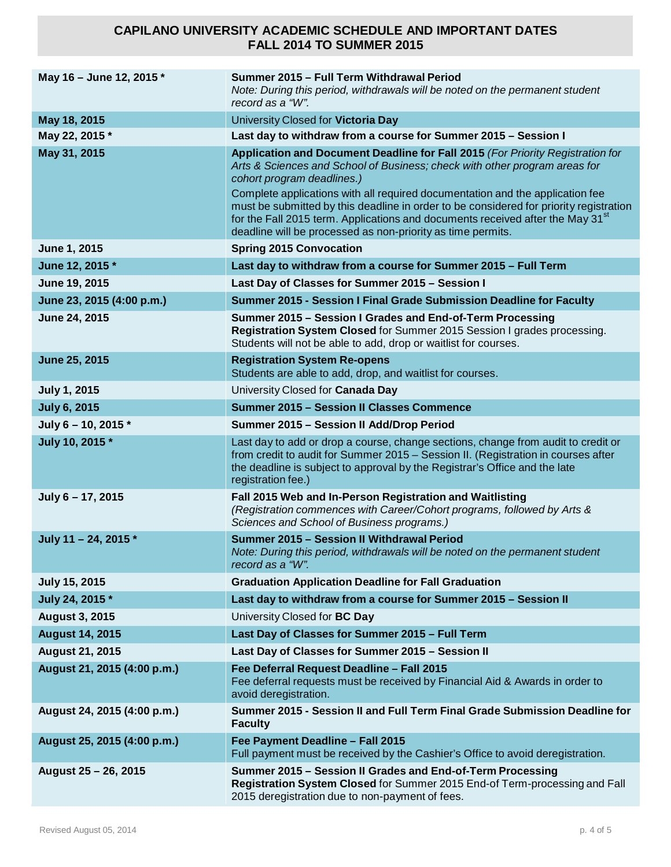| May 16 - June 12, 2015 *    | Summer 2015 - Full Term Withdrawal Period<br>Note: During this period, withdrawals will be noted on the permanent student<br>record as a "W".                                                                                                                                                                                                                                                                                                                                                                                      |
|-----------------------------|------------------------------------------------------------------------------------------------------------------------------------------------------------------------------------------------------------------------------------------------------------------------------------------------------------------------------------------------------------------------------------------------------------------------------------------------------------------------------------------------------------------------------------|
| May 18, 2015                | University Closed for Victoria Day                                                                                                                                                                                                                                                                                                                                                                                                                                                                                                 |
| May 22, 2015 *              | Last day to withdraw from a course for Summer 2015 - Session I                                                                                                                                                                                                                                                                                                                                                                                                                                                                     |
| May 31, 2015                | Application and Document Deadline for Fall 2015 (For Priority Registration for<br>Arts & Sciences and School of Business; check with other program areas for<br>cohort program deadlines.)<br>Complete applications with all required documentation and the application fee<br>must be submitted by this deadline in order to be considered for priority registration<br>for the Fall 2015 term. Applications and documents received after the May 31 <sup>st</sup><br>deadline will be processed as non-priority as time permits. |
| June 1, 2015                | <b>Spring 2015 Convocation</b>                                                                                                                                                                                                                                                                                                                                                                                                                                                                                                     |
| June 12, 2015 *             | Last day to withdraw from a course for Summer 2015 - Full Term                                                                                                                                                                                                                                                                                                                                                                                                                                                                     |
| June 19, 2015               | Last Day of Classes for Summer 2015 - Session I                                                                                                                                                                                                                                                                                                                                                                                                                                                                                    |
| June 23, 2015 (4:00 p.m.)   | Summer 2015 - Session I Final Grade Submission Deadline for Faculty                                                                                                                                                                                                                                                                                                                                                                                                                                                                |
| June 24, 2015               | Summer 2015 - Session I Grades and End-of-Term Processing<br>Registration System Closed for Summer 2015 Session I grades processing.<br>Students will not be able to add, drop or waitlist for courses.                                                                                                                                                                                                                                                                                                                            |
| June 25, 2015               | <b>Registration System Re-opens</b><br>Students are able to add, drop, and waitlist for courses.                                                                                                                                                                                                                                                                                                                                                                                                                                   |
| <b>July 1, 2015</b>         | University Closed for Canada Day                                                                                                                                                                                                                                                                                                                                                                                                                                                                                                   |
| <b>July 6, 2015</b>         | <b>Summer 2015 - Session II Classes Commence</b>                                                                                                                                                                                                                                                                                                                                                                                                                                                                                   |
| July 6 - 10, 2015 *         | Summer 2015 - Session II Add/Drop Period                                                                                                                                                                                                                                                                                                                                                                                                                                                                                           |
| July 10, 2015 *             | Last day to add or drop a course, change sections, change from audit to credit or<br>from credit to audit for Summer 2015 - Session II. (Registration in courses after<br>the deadline is subject to approval by the Registrar's Office and the late<br>registration fee.)                                                                                                                                                                                                                                                         |
| July 6 - 17, 2015           | Fall 2015 Web and In-Person Registration and Waitlisting<br>(Registration commences with Career/Cohort programs, followed by Arts &<br>Sciences and School of Business programs.)                                                                                                                                                                                                                                                                                                                                                  |
| July 11 - 24, 2015 *        | Summer 2015 - Session II Withdrawal Period<br>Note: During this period, withdrawals will be noted on the permanent student<br>record as a "W".                                                                                                                                                                                                                                                                                                                                                                                     |
| <b>July 15, 2015</b>        | <b>Graduation Application Deadline for Fall Graduation</b>                                                                                                                                                                                                                                                                                                                                                                                                                                                                         |
| July 24, 2015 *             | Last day to withdraw from a course for Summer 2015 - Session II                                                                                                                                                                                                                                                                                                                                                                                                                                                                    |
| <b>August 3, 2015</b>       | University Closed for BC Day                                                                                                                                                                                                                                                                                                                                                                                                                                                                                                       |
| <b>August 14, 2015</b>      | Last Day of Classes for Summer 2015 - Full Term                                                                                                                                                                                                                                                                                                                                                                                                                                                                                    |
| <b>August 21, 2015</b>      | Last Day of Classes for Summer 2015 - Session II                                                                                                                                                                                                                                                                                                                                                                                                                                                                                   |
| August 21, 2015 (4:00 p.m.) | Fee Deferral Request Deadline - Fall 2015<br>Fee deferral requests must be received by Financial Aid & Awards in order to<br>avoid deregistration.                                                                                                                                                                                                                                                                                                                                                                                 |
| August 24, 2015 (4:00 p.m.) | Summer 2015 - Session II and Full Term Final Grade Submission Deadline for<br><b>Faculty</b>                                                                                                                                                                                                                                                                                                                                                                                                                                       |
| August 25, 2015 (4:00 p.m.) | Fee Payment Deadline - Fall 2015<br>Full payment must be received by the Cashier's Office to avoid deregistration.                                                                                                                                                                                                                                                                                                                                                                                                                 |
| August 25 - 26, 2015        | Summer 2015 - Session II Grades and End-of-Term Processing<br>Registration System Closed for Summer 2015 End-of Term-processing and Fall<br>2015 deregistration due to non-payment of fees.                                                                                                                                                                                                                                                                                                                                        |